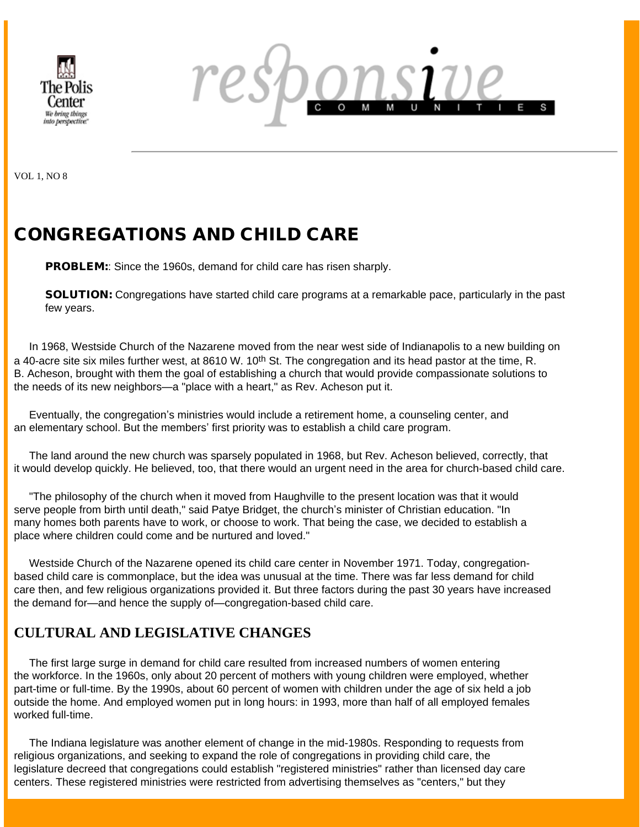



VOL 1, NO 8

# CONGREGATIONS AND CHILD CARE

**PROBLEM::** Since the 1960s, demand for child care has risen sharply.

SOLUTION: Congregations have started child care programs at a remarkable pace, particularly in the past few years.

 In 1968, Westside Church of the Nazarene moved from the near west side of Indianapolis to a new building on a 40-acre site six miles further west, at 8610 W. 10<sup>th</sup> St. The congregation and its head pastor at the time, R. B. Acheson, brought with them the goal of establishing a church that would provide compassionate solutions to the needs of its new neighbors—a "place with a heart," as Rev. Acheson put it.

 Eventually, the congregation's ministries would include a retirement home, a counseling center, and an elementary school. But the members' first priority was to establish a child care program.

 The land around the new church was sparsely populated in 1968, but Rev. Acheson believed, correctly, that it would develop quickly. He believed, too, that there would an urgent need in the area for church-based child care.

 "The philosophy of the church when it moved from Haughville to the present location was that it would serve people from birth until death," said Patye Bridget, the church's minister of Christian education. "In many homes both parents have to work, or choose to work. That being the case, we decided to establish a place where children could come and be nurtured and loved."

 Westside Church of the Nazarene opened its child care center in November 1971. Today, congregationbased child care is commonplace, but the idea was unusual at the time. There was far less demand for child care then, and few religious organizations provided it. But three factors during the past 30 years have increased the demand for—and hence the supply of—congregation-based child care.

## **CULTURAL AND LEGISLATIVE CHANGES**

 The first large surge in demand for child care resulted from increased numbers of women entering the workforce. In the 1960s, only about 20 percent of mothers with young children were employed, whether part-time or full-time. By the 1990s, about 60 percent of women with children under the age of six held a job outside the home. And employed women put in long hours: in 1993, more than half of all employed females worked full-time.

 The Indiana legislature was another element of change in the mid-1980s. Responding to requests from religious organizations, and seeking to expand the role of congregations in providing child care, the legislature decreed that congregations could establish "registered ministries" rather than licensed day care centers. These registered ministries were restricted from advertising themselves as "centers," but they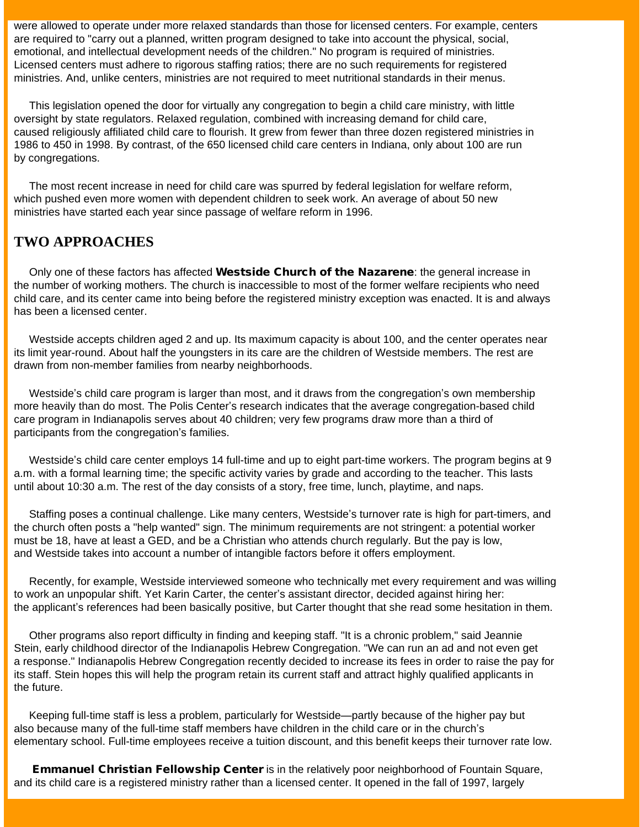were allowed to operate under more relaxed standards than those for licensed centers. For example, centers are required to "carry out a planned, written program designed to take into account the physical, social, emotional, and intellectual development needs of the children." No program is required of ministries. Licensed centers must adhere to rigorous staffing ratios; there are no such requirements for registered ministries. And, unlike centers, ministries are not required to meet nutritional standards in their menus.

 This legislation opened the door for virtually any congregation to begin a child care ministry, with little oversight by state regulators. Relaxed regulation, combined with increasing demand for child care, caused religiously affiliated child care to flourish. It grew from fewer than three dozen registered ministries in 1986 to 450 in 1998. By contrast, of the 650 licensed child care centers in Indiana, only about 100 are run by congregations.

 The most recent increase in need for child care was spurred by federal legislation for welfare reform, which pushed even more women with dependent children to seek work. An average of about 50 new ministries have started each year since passage of welfare reform in 1996.

## **TWO APPROACHES**

Only one of these factors has affected **Westside Church of the Nazarene**: the general increase in the number of working mothers. The church is inaccessible to most of the former welfare recipients who need child care, and its center came into being before the registered ministry exception was enacted. It is and always has been a licensed center.

 Westside accepts children aged 2 and up. Its maximum capacity is about 100, and the center operates near its limit year-round. About half the youngsters in its care are the children of Westside members. The rest are drawn from non-member families from nearby neighborhoods.

 Westside's child care program is larger than most, and it draws from the congregation's own membership more heavily than do most. The Polis Center's research indicates that the average congregation-based child care program in Indianapolis serves about 40 children; very few programs draw more than a third of participants from the congregation's families.

 Westside's child care center employs 14 full-time and up to eight part-time workers. The program begins at 9 a.m. with a formal learning time; the specific activity varies by grade and according to the teacher. This lasts until about 10:30 a.m. The rest of the day consists of a story, free time, lunch, playtime, and naps.

 Staffing poses a continual challenge. Like many centers, Westside's turnover rate is high for part-timers, and the church often posts a "help wanted" sign. The minimum requirements are not stringent: a potential worker must be 18, have at least a GED, and be a Christian who attends church regularly. But the pay is low, and Westside takes into account a number of intangible factors before it offers employment.

 Recently, for example, Westside interviewed someone who technically met every requirement and was willing to work an unpopular shift. Yet Karin Carter, the center's assistant director, decided against hiring her: the applicant's references had been basically positive, but Carter thought that she read some hesitation in them.

 Other programs also report difficulty in finding and keeping staff. "It is a chronic problem," said Jeannie Stein, early childhood director of the Indianapolis Hebrew Congregation. "We can run an ad and not even get a response." Indianapolis Hebrew Congregation recently decided to increase its fees in order to raise the pay for its staff. Stein hopes this will help the program retain its current staff and attract highly qualified applicants in the future.

 Keeping full-time staff is less a problem, particularly for Westside—partly because of the higher pay but also because many of the full-time staff members have children in the child care or in the church's elementary school. Full-time employees receive a tuition discount, and this benefit keeps their turnover rate low.

**Emmanuel Christian Fellowship Center** is in the relatively poor neighborhood of Fountain Square, and its child care is a registered ministry rather than a licensed center. It opened in the fall of 1997, largely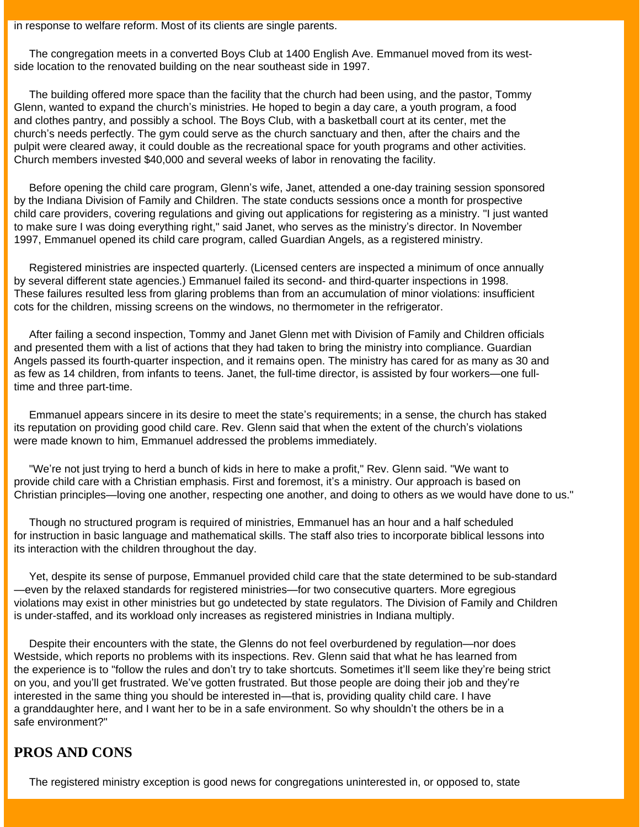in response to welfare reform. Most of its clients are single parents.

 The congregation meets in a converted Boys Club at 1400 English Ave. Emmanuel moved from its westside location to the renovated building on the near southeast side in 1997.

 The building offered more space than the facility that the church had been using, and the pastor, Tommy Glenn, wanted to expand the church's ministries. He hoped to begin a day care, a youth program, a food and clothes pantry, and possibly a school. The Boys Club, with a basketball court at its center, met the church's needs perfectly. The gym could serve as the church sanctuary and then, after the chairs and the pulpit were cleared away, it could double as the recreational space for youth programs and other activities. Church members invested \$40,000 and several weeks of labor in renovating the facility.

 Before opening the child care program, Glenn's wife, Janet, attended a one-day training session sponsored by the Indiana Division of Family and Children. The state conducts sessions once a month for prospective child care providers, covering regulations and giving out applications for registering as a ministry. "I just wanted to make sure I was doing everything right," said Janet, who serves as the ministry's director. In November 1997, Emmanuel opened its child care program, called Guardian Angels, as a registered ministry.

 Registered ministries are inspected quarterly. (Licensed centers are inspected a minimum of once annually by several different state agencies.) Emmanuel failed its second- and third-quarter inspections in 1998. These failures resulted less from glaring problems than from an accumulation of minor violations: insufficient cots for the children, missing screens on the windows, no thermometer in the refrigerator.

 After failing a second inspection, Tommy and Janet Glenn met with Division of Family and Children officials and presented them with a list of actions that they had taken to bring the ministry into compliance. Guardian Angels passed its fourth-quarter inspection, and it remains open. The ministry has cared for as many as 30 and as few as 14 children, from infants to teens. Janet, the full-time director, is assisted by four workers—one fulltime and three part-time.

 Emmanuel appears sincere in its desire to meet the state's requirements; in a sense, the church has staked its reputation on providing good child care. Rev. Glenn said that when the extent of the church's violations were made known to him, Emmanuel addressed the problems immediately.

 "We're not just trying to herd a bunch of kids in here to make a profit," Rev. Glenn said. "We want to provide child care with a Christian emphasis. First and foremost, it's a ministry. Our approach is based on Christian principles—loving one another, respecting one another, and doing to others as we would have done to us."

 Though no structured program is required of ministries, Emmanuel has an hour and a half scheduled for instruction in basic language and mathematical skills. The staff also tries to incorporate biblical lessons into its interaction with the children throughout the day.

 Yet, despite its sense of purpose, Emmanuel provided child care that the state determined to be sub-standard —even by the relaxed standards for registered ministries—for two consecutive quarters. More egregious violations may exist in other ministries but go undetected by state regulators. The Division of Family and Children is under-staffed, and its workload only increases as registered ministries in Indiana multiply.

 Despite their encounters with the state, the Glenns do not feel overburdened by regulation—nor does Westside, which reports no problems with its inspections. Rev. Glenn said that what he has learned from the experience is to "follow the rules and don't try to take shortcuts. Sometimes it'll seem like they're being strict on you, and you'll get frustrated. We've gotten frustrated. But those people are doing their job and they're interested in the same thing you should be interested in—that is, providing quality child care. I have a granddaughter here, and I want her to be in a safe environment. So why shouldn't the others be in a safe environment?"

## **PROS AND CONS**

The registered ministry exception is good news for congregations uninterested in, or opposed to, state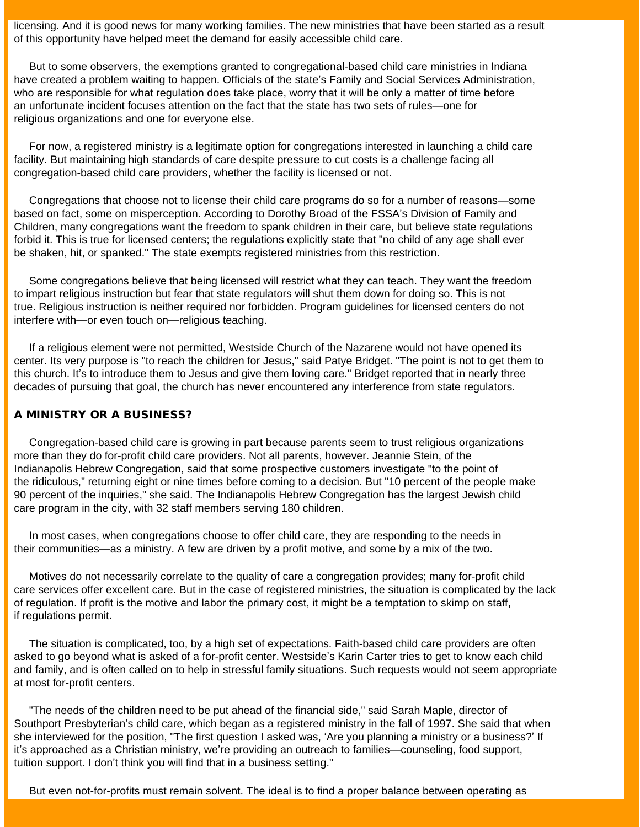licensing. And it is good news for many working families. The new ministries that have been started as a result of this opportunity have helped meet the demand for easily accessible child care.

 But to some observers, the exemptions granted to congregational-based child care ministries in Indiana have created a problem waiting to happen. Officials of the state's Family and Social Services Administration, who are responsible for what regulation does take place, worry that it will be only a matter of time before an unfortunate incident focuses attention on the fact that the state has two sets of rules—one for religious organizations and one for everyone else.

 For now, a registered ministry is a legitimate option for congregations interested in launching a child care facility. But maintaining high standards of care despite pressure to cut costs is a challenge facing all congregation-based child care providers, whether the facility is licensed or not.

 Congregations that choose not to license their child care programs do so for a number of reasons—some based on fact, some on misperception. According to Dorothy Broad of the FSSA's Division of Family and Children, many congregations want the freedom to spank children in their care, but believe state regulations forbid it. This is true for licensed centers; the regulations explicitly state that "no child of any age shall ever be shaken, hit, or spanked." The state exempts registered ministries from this restriction.

 Some congregations believe that being licensed will restrict what they can teach. They want the freedom to impart religious instruction but fear that state regulators will shut them down for doing so. This is not true. Religious instruction is neither required nor forbidden. Program guidelines for licensed centers do not interfere with—or even touch on—religious teaching.

 If a religious element were not permitted, Westside Church of the Nazarene would not have opened its center. Its very purpose is "to reach the children for Jesus," said Patye Bridget. "The point is not to get them to this church. It's to introduce them to Jesus and give them loving care." Bridget reported that in nearly three decades of pursuing that goal, the church has never encountered any interference from state regulators.

#### A MINISTRY OR A BUSINESS?

 Congregation-based child care is growing in part because parents seem to trust religious organizations more than they do for-profit child care providers. Not all parents, however. Jeannie Stein, of the Indianapolis Hebrew Congregation, said that some prospective customers investigate "to the point of the ridiculous," returning eight or nine times before coming to a decision. But "10 percent of the people make 90 percent of the inquiries," she said. The Indianapolis Hebrew Congregation has the largest Jewish child care program in the city, with 32 staff members serving 180 children.

 In most cases, when congregations choose to offer child care, they are responding to the needs in their communities—as a ministry. A few are driven by a profit motive, and some by a mix of the two.

 Motives do not necessarily correlate to the quality of care a congregation provides; many for-profit child care services offer excellent care. But in the case of registered ministries, the situation is complicated by the lack of regulation. If profit is the motive and labor the primary cost, it might be a temptation to skimp on staff, if regulations permit.

 The situation is complicated, too, by a high set of expectations. Faith-based child care providers are often asked to go beyond what is asked of a for-profit center. Westside's Karin Carter tries to get to know each child and family, and is often called on to help in stressful family situations. Such requests would not seem appropriate at most for-profit centers.

 "The needs of the children need to be put ahead of the financial side," said Sarah Maple, director of Southport Presbyterian's child care, which began as a registered ministry in the fall of 1997. She said that when she interviewed for the position, "The first question I asked was, 'Are you planning a ministry or a business?' If it's approached as a Christian ministry, we're providing an outreach to families—counseling, food support, tuition support. I don't think you will find that in a business setting."

But even not-for-profits must remain solvent. The ideal is to find a proper balance between operating as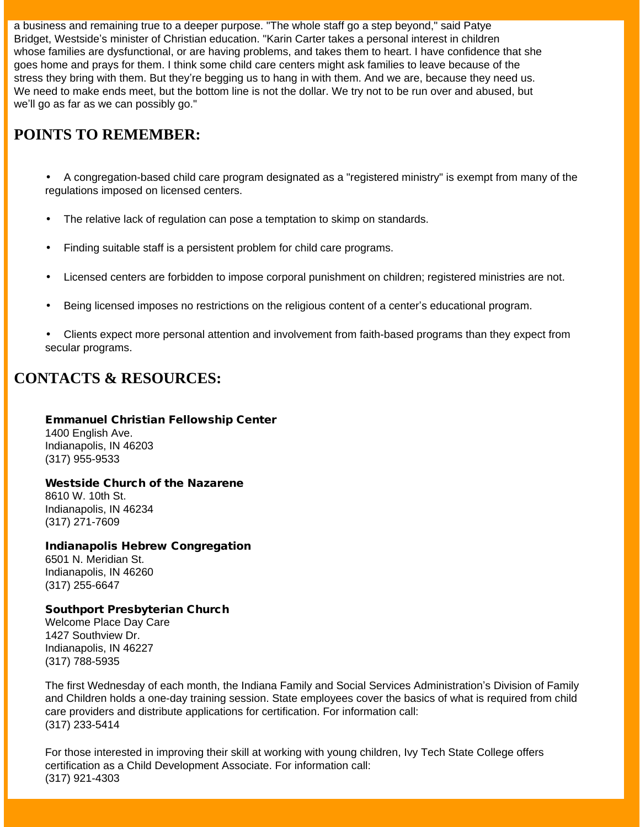a business and remaining true to a deeper purpose. "The whole staff go a step beyond," said Patye Bridget, Westside's minister of Christian education. "Karin Carter takes a personal interest in children whose families are dysfunctional, or are having problems, and takes them to heart. I have confidence that she goes home and prays for them. I think some child care centers might ask families to leave because of the stress they bring with them. But they're begging us to hang in with them. And we are, because they need us. We need to make ends meet, but the bottom line is not the dollar. We try not to be run over and abused, but we'll go as far as we can possibly go."

# **POINTS TO REMEMBER:**

• A congregation-based child care program designated as a "registered ministry" is exempt from many of the regulations imposed on licensed centers.

- The relative lack of regulation can pose a temptation to skimp on standards.
- Finding suitable staff is a persistent problem for child care programs.
- Licensed centers are forbidden to impose corporal punishment on children; registered ministries are not.
- Being licensed imposes no restrictions on the religious content of a center's educational program.
- Clients expect more personal attention and involvement from faith-based programs than they expect from secular programs.

## **CONTACTS & RESOURCES:**

#### Emmanuel Christian Fellowship Center 1400 English Ave. Indianapolis, IN 46203 (317) 955-9533

### Westside Church of the Nazarene

8610 W. 10th St. Indianapolis, IN 46234 (317) 271-7609

## Indianapolis Hebrew Congregation

6501 N. Meridian St. Indianapolis, IN 46260 (317) 255-6647

#### Southport Presbyterian Church

Welcome Place Day Care 1427 Southview Dr. Indianapolis, IN 46227 (317) 788-5935

The first Wednesday of each month, the Indiana Family and Social Services Administration's Division of Family and Children holds a one-day training session. State employees cover the basics of what is required from child care providers and distribute applications for certification. For information call: (317) 233-5414

For those interested in improving their skill at working with young children, Ivy Tech State College offers certification as a Child Development Associate. For information call: (317) 921-4303